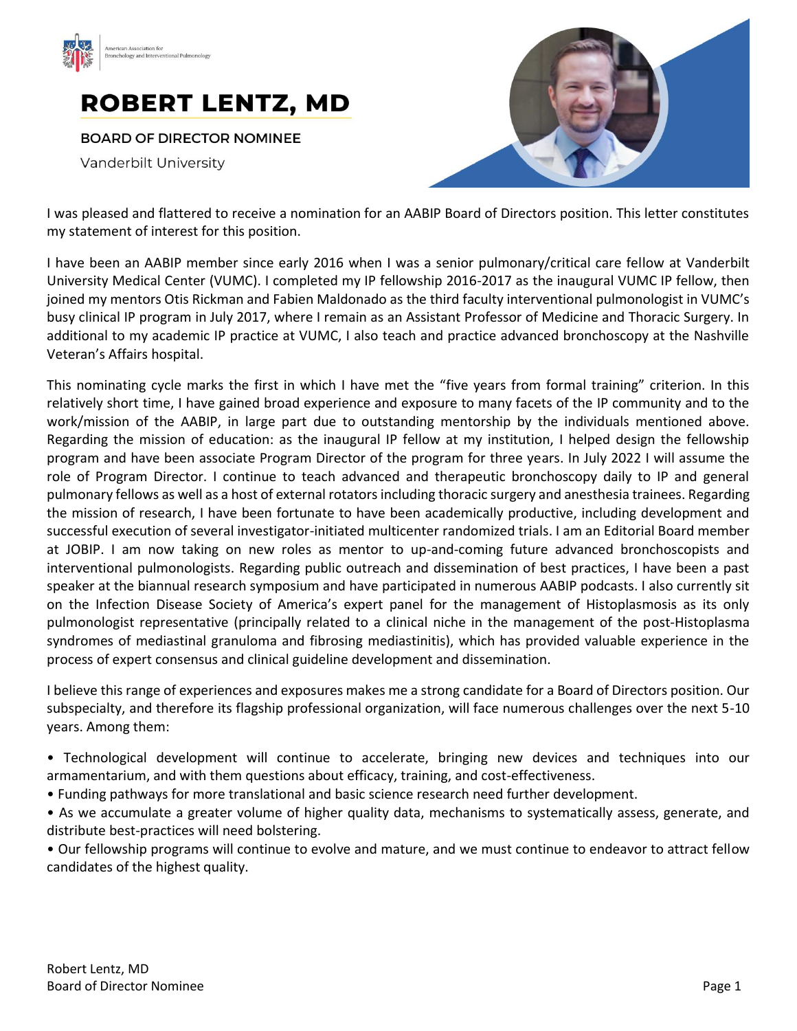



**BOARD OF DIRECTOR NOMINEE** 

Vanderbilt University



I was pleased and flattered to receive a nomination for an AABIP Board of Directors position. This letter constitutes my statement of interest for this position.

I have been an AABIP member since early 2016 when I was a senior pulmonary/critical care fellow at Vanderbilt University Medical Center (VUMC). I completed my IP fellowship 2016-2017 as the inaugural VUMC IP fellow, then joined my mentors Otis Rickman and Fabien Maldonado as the third faculty interventional pulmonologist in VUMC's busy clinical IP program in July 2017, where I remain as an Assistant Professor of Medicine and Thoracic Surgery. In additional to my academic IP practice at VUMC, I also teach and practice advanced bronchoscopy at the Nashville Veteran's Affairs hospital.

This nominating cycle marks the first in which I have met the "five years from formal training" criterion. In this relatively short time, I have gained broad experience and exposure to many facets of the IP community and to the work/mission of the AABIP, in large part due to outstanding mentorship by the individuals mentioned above. Regarding the mission of education: as the inaugural IP fellow at my institution, I helped design the fellowship program and have been associate Program Director of the program for three years. In July 2022 I will assume the role of Program Director. I continue to teach advanced and therapeutic bronchoscopy daily to IP and general pulmonary fellows as well as a host of external rotators including thoracic surgery and anesthesia trainees. Regarding the mission of research, I have been fortunate to have been academically productive, including development and successful execution of several investigator-initiated multicenter randomized trials. I am an Editorial Board member at JOBIP. I am now taking on new roles as mentor to up-and-coming future advanced bronchoscopists and interventional pulmonologists. Regarding public outreach and dissemination of best practices, I have been a past speaker at the biannual research symposium and have participated in numerous AABIP podcasts. I also currently sit on the Infection Disease Society of America's expert panel for the management of Histoplasmosis as its only pulmonologist representative (principally related to a clinical niche in the management of the post-Histoplasma syndromes of mediastinal granuloma and fibrosing mediastinitis), which has provided valuable experience in the process of expert consensus and clinical guideline development and dissemination.

I believe this range of experiences and exposures makes me a strong candidate for a Board of Directors position. Our subspecialty, and therefore its flagship professional organization, will face numerous challenges over the next 5-10 years. Among them:

- Technological development will continue to accelerate, bringing new devices and techniques into our armamentarium, and with them questions about efficacy, training, and cost-effectiveness.
- Funding pathways for more translational and basic science research need further development.
- As we accumulate a greater volume of higher quality data, mechanisms to systematically assess, generate, and distribute best-practices will need bolstering.
- Our fellowship programs will continue to evolve and mature, and we must continue to endeavor to attract fellow candidates of the highest quality.